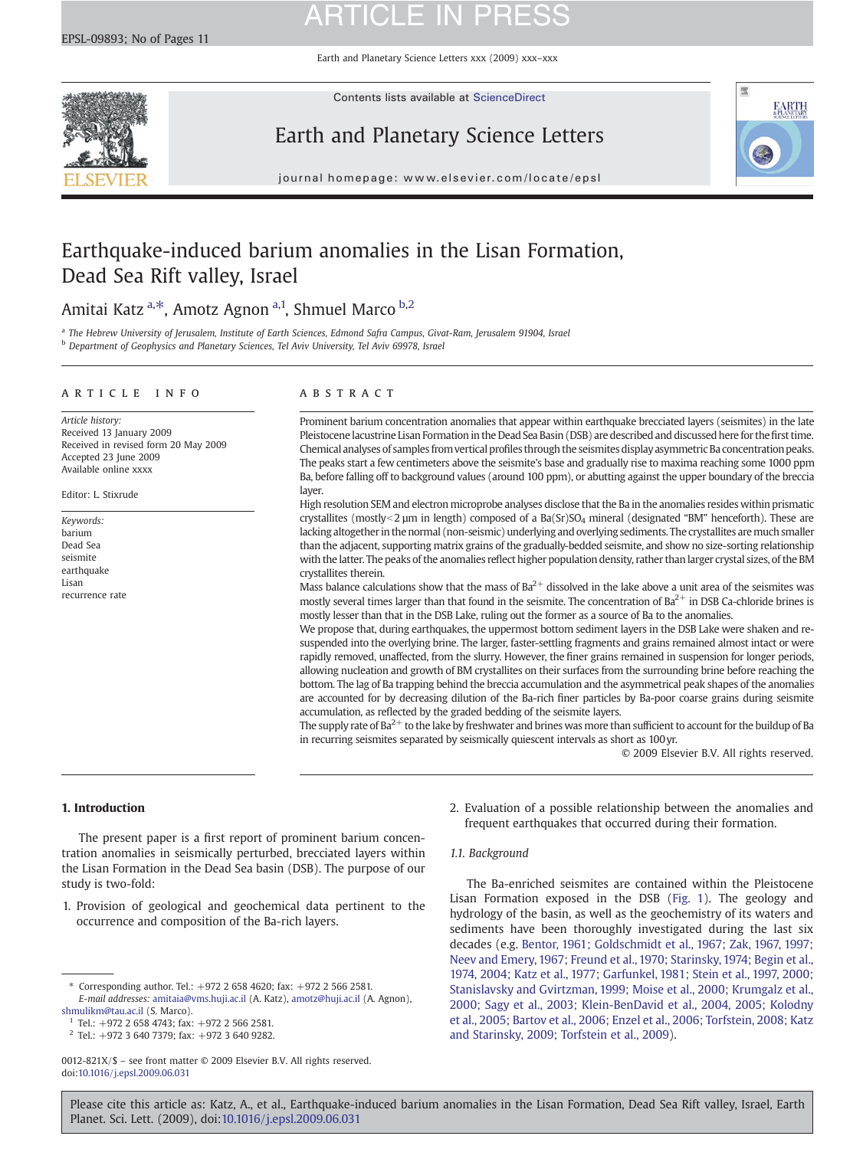Earth and Planetary Science Letters xxx (2009) xxx–xxx



Contents lists available at [ScienceDirect](http://www.sciencedirect.com/science/journal/0012821X)

### Earth and Planetary Science Letters



journal homepage: www.elsevier.com/locate/epsl

### Earthquake-induced barium anomalies in the Lisan Formation, Dead Sea Rift valley, Israel

### Amitai Katz<sup>[a,](#page-0-0)\*</sup>, Amotz Agnon<sup>[a](#page-0-0),1</sup>, Shmuel Marco <sup>[b,](#page-0-0)2</sup>

a The Hebrew University of Jerusalem, Institute of Earth Sciences, Edmond Safra Campus, Givat-Ram, Jerusalem 91904, Israel <sup>b</sup> Department of Geophysics and Planetary Sciences, Tel Aviv University, Tel Aviv 69978, Israel

### A R T I C L E I N F O A B S T R A C T

Article history: Received 13 January 2009 Received in revised form 20 May 2009 Accepted 23 June 2009 Available online xxxx

Editor: L. Stixrude

Keywords: barium Dead Sea seismite earthquake Lisan recurrence rate

Prominent barium concentration anomalies that appear within earthquake brecciated layers (seismites) in the late Pleistocene lacustrine Lisan Formation in the Dead Sea Basin (DSB) are described and discussed here for thefirst time. Chemical analyses of samples from vertical profiles through the seismites display asymmetric Ba concentration peaks. The peaks start a few centimeters above the seismite's base and gradually rise to maxima reaching some 1000 ppm Ba, before falling off to background values (around 100 ppm), or abutting against the upper boundary of the breccia layer.

High resolution SEM and electron microprobe analyses disclose that the Ba in the anomalies resides within prismatic crystallites (mostly<2  $\mu$ m in length) composed of a Ba(Sr)SO<sub>4</sub> mineral (designated "BM" henceforth). These are lacking altogether in the normal (non-seismic) underlying and overlying sediments. The crystallites aremuch smaller than the adjacent, supporting matrix grains of the gradually-bedded seismite, and show no size-sorting relationship with the latter. The peaks of the anomalies reflect higher population density, rather than larger crystal sizes, of the BM crystallites therein.

Mass balance calculations show that the mass of  $Ba^{2+}$  dissolved in the lake above a unit area of the seismites was mostly several times larger than that found in the seismite. The concentration of  $Ba^{2+}$  in DSB Ca-chloride brines is mostly lesser than that in the DSB Lake, ruling out the former as a source of Ba to the anomalies.

We propose that, during earthquakes, the uppermost bottom sediment layers in the DSB Lake were shaken and resuspended into the overlying brine. The larger, faster-settling fragments and grains remained almost intact or were rapidly removed, unaffected, from the slurry. However, the finer grains remained in suspension for longer periods, allowing nucleation and growth of BM crystallites on their surfaces from the surrounding brine before reaching the bottom. The lag of Ba trapping behind the breccia accumulation and the asymmetrical peak shapes of the anomalies are accounted for by decreasing dilution of the Ba-rich finer particles by Ba-poor coarse grains during seismite accumulation, as reflected by the graded bedding of the seismite layers.

The supply rate of  $Ba^{2+}$  to the lake by freshwater and brines was more than sufficient to account for the buildup of Ba in recurring seismites separated by seismically quiescent intervals as short as 100yr.

© 2009 Elsevier B.V. All rights reserved.

### 1. Introduction

The present paper is a first report of prominent barium concentration anomalies in seismically perturbed, brecciated layers within the Lisan Formation in the Dead Sea basin (DSB). The purpose of our study is two-fold:

1. Provision of geological and geochemical data pertinent to the occurrence and composition of the Ba-rich layers.

- 2. Evaluation of a possible relationship between the anomalies and frequent earthquakes that occurred during their formation.
- 1.1. Background

The Ba-enriched seismites are contained within the Pleistocene Lisan Formation exposed in the DSB [\(Fig. 1\)](#page-1-0). The geology and hydrology of the basin, as well as the geochemistry of its waters and sediments have been thoroughly investigated during the last six decades (e.g. [Bentor, 1961; Goldschmidt et al., 1967; Zak, 1967, 1997;](#page-9-0) [Neev and Emery, 1967; Freund et al., 1970; Starinsky, 1974; Begin et al.,](#page-9-0) [1974, 2004; Katz et al., 1977; Garfunkel, 1981; Stein et al., 1997, 2000;](#page-9-0) [Stanislavsky and Gvirtzman, 1999; Moise et al., 2000; Krumgalz et al.,](#page-9-0) [2000; Sagy et al., 2003; Klein-BenDavid et al., 2004, 2005; Kolodny](#page-9-0) [et al., 2005; Bartov et al., 2006; Enzel et al., 2006; Torfstein, 2008; Katz](#page-9-0) [and Starinsky, 2009; Torfstein et al., 2009\)](#page-9-0).

Corresponding author. Tel.: +972 2 658 4620; fax: +972 2 566 2581. E-mail addresses: [amitaia@vms.huji.ac.il](mailto:amitaia@vms.huji.ac.il) (A. Katz), [amotz@huji.ac.il](mailto:amotz@huji.ac.il) (A. Agnon), [shmulikm@tau.ac.il](mailto:shmulikm@tau.ac.il) (S. Marco).

 $1$  Tel.:  $+972$  2 658 4743; fax:  $+972$  2 566 2581.

 $2$  Tel.: +972 3 640 7379; fax: +972 3 640 9282.

<span id="page-0-0"></span><sup>0012-821</sup>X/\$ – see front matter © 2009 Elsevier B.V. All rights reserved. doi:[10.1016/j.epsl.2009.06.031](http://dx.doi.org/10.1016/j.epsl.2009.06.031)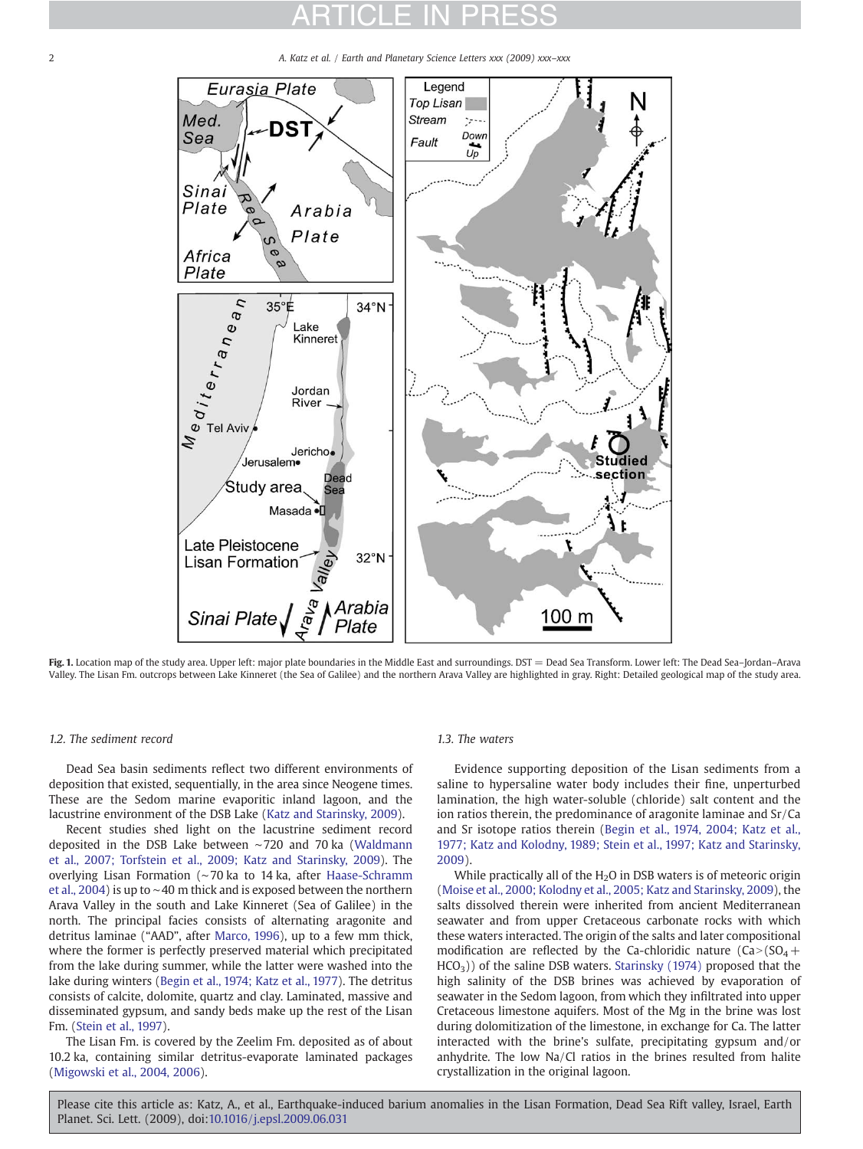2 2 A. Katz et al. / Earth and Planetary Science Letters xxx (2009) xxx–xxx



Fig. 1. Location map of the study area. Upper left: major plate boundaries in the Middle East and surroundings. DST = Dead Sea Transform. Lower left: The Dead Sea-Jordan-Arava Valley. The Lisan Fm. outcrops between Lake Kinneret (the Sea of Galilee) and the northern Arava Valley are highlighted in gray. Right: Detailed geological map of the study area.

### 1.2. The sediment record

Dead Sea basin sediments reflect two different environments of deposition that existed, sequentially, in the area since Neogene times. These are the Sedom marine evaporitic inland lagoon, and the lacustrine environment of the DSB Lake [\(Katz and Starinsky, 2009](#page-10-0)).

Recent studies shed light on the lacustrine sediment record deposited in the DSB Lake between ∼720 and 70 ka ([Waldmann](#page-10-0) [et al., 2007; Torfstein et al., 2009; Katz and Starinsky, 2009](#page-10-0)). The overlying Lisan Formation (∼70 ka to 14 ka, after [Haase-Schramm](#page-10-0) [et al., 2004\)](#page-10-0) is up to ∼40 m thick and is exposed between the northern Arava Valley in the south and Lake Kinneret (Sea of Galilee) in the north. The principal facies consists of alternating aragonite and detritus laminae ("AAD", after [Marco, 1996\)](#page-10-0), up to a few mm thick, where the former is perfectly preserved material which precipitated from the lake during summer, while the latter were washed into the lake during winters ([Begin et al., 1974; Katz et al., 1977](#page-9-0)). The detritus consists of calcite, dolomite, quartz and clay. Laminated, massive and disseminated gypsum, and sandy beds make up the rest of the Lisan Fm. ([Stein et al., 1997](#page-10-0)).

<span id="page-1-0"></span>The Lisan Fm. is covered by the Zeelim Fm. deposited as of about 10.2 ka, containing similar detritus-evaporate laminated packages [\(Migowski et al., 2004, 2006\)](#page-10-0).

### 1.3. The waters

Evidence supporting deposition of the Lisan sediments from a saline to hypersaline water body includes their fine, unperturbed lamination, the high water-soluble (chloride) salt content and the ion ratios therein, the predominance of aragonite laminae and Sr/Ca and Sr isotope ratios therein ([Begin et al., 1974, 2004; Katz et al.,](#page-9-0) [1977; Katz and Kolodny, 1989; Stein et al., 1997; Katz and Starinsky,](#page-9-0) [2009\)](#page-9-0).

While practically all of the  $H<sub>2</sub>O$  in DSB waters is of meteoric origin [\(Moise et al., 2000; Kolodny et al., 2005; Katz and Starinsky, 2009\)](#page-10-0), the salts dissolved therein were inherited from ancient Mediterranean seawater and from upper Cretaceous carbonate rocks with which these waters interacted. The origin of the salts and later compositional modification are reflected by the Ca-chloridic nature  $(Ca > (SO<sub>4</sub>+$  $HCO<sub>3</sub>$ )) of the saline DSB waters. [Starinsky \(1974\)](#page-10-0) proposed that the high salinity of the DSB brines was achieved by evaporation of seawater in the Sedom lagoon, from which they infiltrated into upper Cretaceous limestone aquifers. Most of the Mg in the brine was lost during dolomitization of the limestone, in exchange for Ca. The latter interacted with the brine's sulfate, precipitating gypsum and/or anhydrite. The low Na/Cl ratios in the brines resulted from halite crystallization in the original lagoon.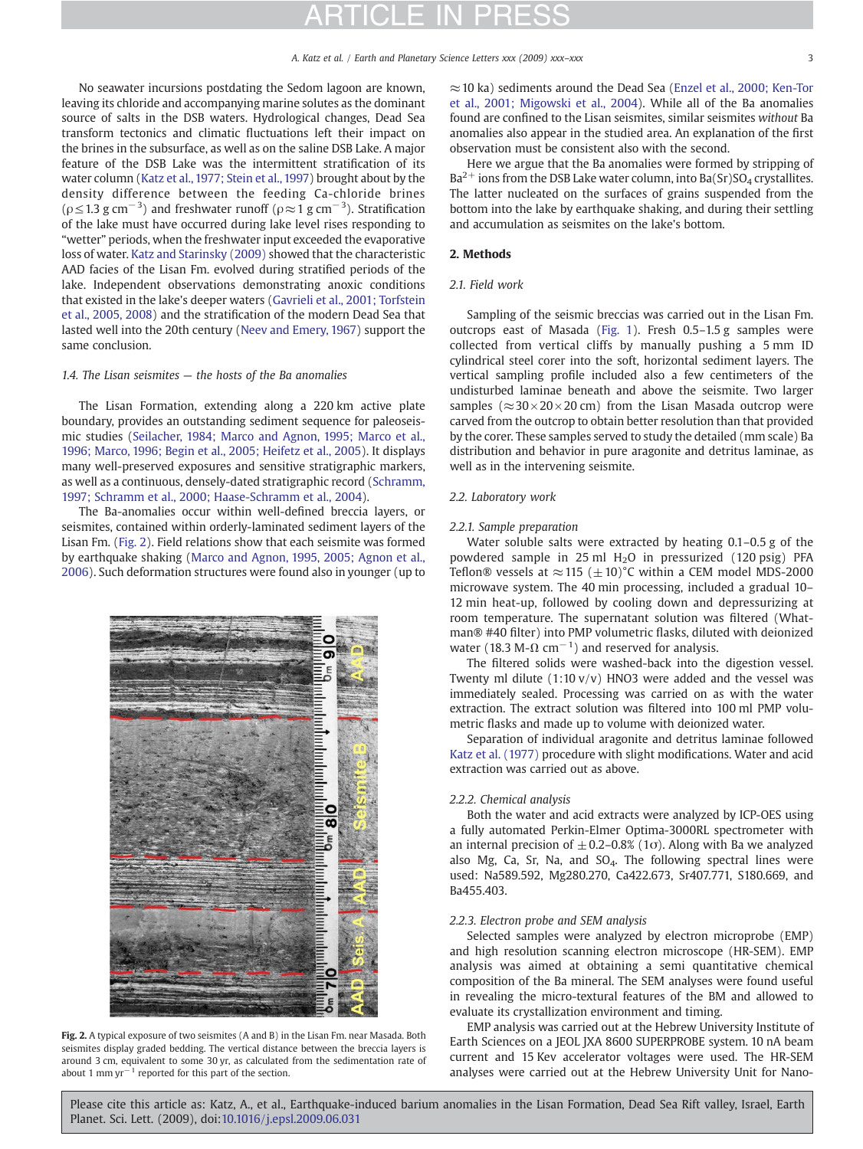No seawater incursions postdating the Sedom lagoon are known, leaving its chloride and accompanying marine solutes as the dominant source of salts in the DSB waters. Hydrological changes, Dead Sea transform tectonics and climatic fluctuations left their impact on the brines in the subsurface, as well as on the saline DSB Lake. A major feature of the DSB Lake was the intermittent stratification of its water column [\(Katz et al., 1977; Stein et al., 1997](#page-10-0)) brought about by the density difference between the feeding Ca-chloride brines ( $\rho$  ≤ 1.3 g cm<sup>-3</sup>) and freshwater runoff ( $\rho \approx 1$  g cm<sup>-3</sup>). Stratification of the lake must have occurred during lake level rises responding to "wetter" periods, when the freshwater input exceeded the evaporative loss of water. [Katz and Starinsky \(2009\)](#page-10-0) showed that the characteristic AAD facies of the Lisan Fm. evolved during stratified periods of the lake. Independent observations demonstrating anoxic conditions that existed in the lake's deeper waters [\(Gavrieli et al., 2001; Torfstein](#page-9-0) [et al., 2005, 2008](#page-9-0)) and the stratification of the modern Dead Sea that lasted well into the 20th century [\(Neev and Emery, 1967\)](#page-10-0) support the same conclusion.

#### 1.4. The Lisan seismites — the hosts of the Ba anomalies

The Lisan Formation, extending along a 220 km active plate boundary, provides an outstanding sediment sequence for paleoseismic studies ([Seilacher, 1984; Marco and Agnon, 1995; Marco et al.,](#page-10-0) [1996; Marco, 1996; Begin et al., 2005; Heifetz et al., 2005](#page-10-0)). It displays many well-preserved exposures and sensitive stratigraphic markers, as well as a continuous, densely-dated stratigraphic record [\(Schramm,](#page-10-0) [1997; Schramm et al., 2000; Haase-Schramm et al., 2004\)](#page-10-0).

The Ba-anomalies occur within well-defined breccia layers, or seismites, contained within orderly-laminated sediment layers of the Lisan Fm. ([Fig. 2](#page-2-0)). Field relations show that each seismite was formed by earthquake shaking ([Marco and Agnon, 1995, 2005; Agnon et al.,](#page-10-0) [2006](#page-10-0)). Such deformation structures were found also in younger (up to



Fig. 2. A typical exposure of two seismites (A and B) in the Lisan Fm. near Masada. Both seismites display graded bedding. The vertical distance between the breccia layers is around 3 cm, equivalent to some 30 yr, as calculated from the sedimentation rate of about 1 mm yr−<sup>1</sup> reported for this part of the section.

≈10 ka) sediments around the Dead Sea [\(Enzel et al., 2000; Ken-Tor](#page-9-0) [et al., 2001; Migowski et al., 2004](#page-9-0)). While all of the Ba anomalies found are confined to the Lisan seismites, similar seismites without Ba anomalies also appear in the studied area. An explanation of the first observation must be consistent also with the second.

Here we argue that the Ba anomalies were formed by stripping of  $Ba^{2+}$  ions from the DSB Lake water column, into Ba(Sr)SO<sub>4</sub> crystallites. The latter nucleated on the surfaces of grains suspended from the bottom into the lake by earthquake shaking, and during their settling and accumulation as seismites on the lake's bottom.

### 2. Methods

### 2.1. Field work

Sampling of the seismic breccias was carried out in the Lisan Fm. outcrops east of Masada [\(Fig. 1\)](#page-1-0). Fresh 0.5–1.5 g samples were collected from vertical cliffs by manually pushing a 5 mm ID cylindrical steel corer into the soft, horizontal sediment layers. The vertical sampling profile included also a few centimeters of the undisturbed laminae beneath and above the seismite. Two larger samples ( $\approx$ 30×20×20 cm) from the Lisan Masada outcrop were carved from the outcrop to obtain better resolution than that provided by the corer. These samples served to study the detailed (mm scale) Ba distribution and behavior in pure aragonite and detritus laminae, as well as in the intervening seismite.

### 2.2. Laboratory work

### 2.2.1. Sample preparation

Water soluble salts were extracted by heating 0.1–0.5 g of the powdered sample in 25 ml  $H_2O$  in pressurized (120 psig) PFA Teflon® vessels at  $\approx$  115 ( $\pm$  10)°C within a CEM model MDS-2000 microwave system. The 40 min processing, included a gradual 10– 12 min heat-up, followed by cooling down and depressurizing at room temperature. The supernatant solution was filtered (Whatman® #40 filter) into PMP volumetric flasks, diluted with deionized water (18.3 M- $\Omega$  cm<sup>-1</sup>) and reserved for analysis.

The filtered solids were washed-back into the digestion vessel. Twenty ml dilute  $(1:10 \text{ v/v})$  HNO3 were added and the vessel was immediately sealed. Processing was carried on as with the water extraction. The extract solution was filtered into 100 ml PMP volumetric flasks and made up to volume with deionized water.

Separation of individual aragonite and detritus laminae followed [Katz et al. \(1977\)](#page-10-0) procedure with slight modifications. Water and acid extraction was carried out as above.

#### 2.2.2. Chemical analysis

Both the water and acid extracts were analyzed by ICP-OES using a fully automated Perkin-Elmer Optima-3000RL spectrometer with an internal precision of  $\pm$  0.2–0.8% (1 $\sigma$ ). Along with Ba we analyzed also Mg, Ca, Sr, Na, and  $SO_4$ . The following spectral lines were used: Na589.592, Mg280.270, Ca422.673, Sr407.771, S180.669, and Ba455.403.

### 2.2.3. Electron probe and SEM analysis

Selected samples were analyzed by electron microprobe (EMP) and high resolution scanning electron microscope (HR-SEM). EMP analysis was aimed at obtaining a semi quantitative chemical composition of the Ba mineral. The SEM analyses were found useful in revealing the micro-textural features of the BM and allowed to evaluate its crystallization environment and timing.

<span id="page-2-0"></span>EMP analysis was carried out at the Hebrew University Institute of Earth Sciences on a JEOL JXA 8600 SUPERPROBE system. 10 nA beam current and 15 Kev accelerator voltages were used. The HR-SEM analyses were carried out at the Hebrew University Unit for Nano-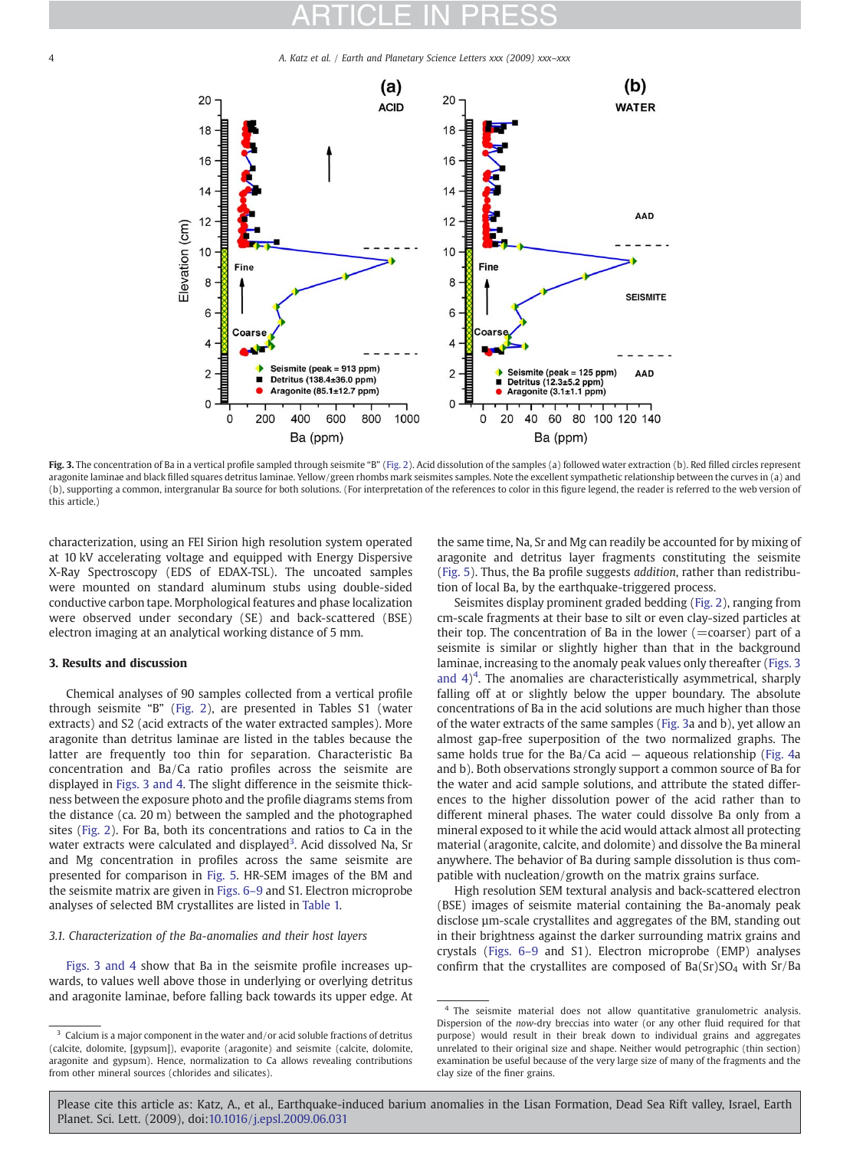4 A. Katz et al. / Earth and Planetary Science Letters xxx (2009) xxx–xxx



Fig. 3. The concentration of Ba in a vertical profile sampled through seismite "B" ([Fig. 2\)](#page-2-0). Acid dissolution of the samples (a) followed water extraction (b). Red filled circles represent aragonite laminae and black filled squares detritus laminae. Yellow/green rhombs mark seismites samples. Note the excellent sympathetic relationship between the curves in (a) and (b), supporting a common, intergranular Ba source for both solutions. (For interpretation of the references to color in this figure legend, the reader is referred to the web version of this article.)

characterization, using an FEI Sirion high resolution system operated at 10 kV accelerating voltage and equipped with Energy Dispersive X-Ray Spectroscopy (EDS of EDAX-TSL). The uncoated samples were mounted on standard aluminum stubs using double-sided conductive carbon tape. Morphological features and phase localization were observed under secondary (SE) and back-scattered (BSE) electron imaging at an analytical working distance of 5 mm.

### 3. Results and discussion

Chemical analyses of 90 samples collected from a vertical profile through seismite "B" [\(Fig. 2\)](#page-2-0), are presented in Tables S1 (water extracts) and S2 (acid extracts of the water extracted samples). More aragonite than detritus laminae are listed in the tables because the latter are frequently too thin for separation. Characteristic Ba concentration and Ba/Ca ratio profiles across the seismite are displayed in [Figs. 3 and 4](#page-3-0). The slight difference in the seismite thickness between the exposure photo and the profile diagrams stems from the distance (ca. 20 m) between the sampled and the photographed sites ([Fig. 2](#page-2-0)). For Ba, both its concentrations and ratios to Ca in the water extracts were calculated and displayed<sup>3</sup>. Acid dissolved Na, Sr and Mg concentration in profiles across the same seismite are presented for comparison in [Fig. 5](#page-4-0). HR-SEM images of the BM and the seismite matrix are given in [Figs. 6](#page-5-0)–9 and S1. Electron microprobe analyses of selected BM crystallites are listed in [Table 1.](#page-6-0)

### 3.1. Characterization of the Ba-anomalies and their host layers

[Figs. 3 and 4](#page-3-0) show that Ba in the seismite profile increases upwards, to values well above those in underlying or overlying detritus and aragonite laminae, before falling back towards its upper edge. At the same time, Na, Sr and Mg can readily be accounted for by mixing of aragonite and detritus layer fragments constituting the seismite [\(Fig. 5\)](#page-4-0). Thus, the Ba profile suggests addition, rather than redistribution of local Ba, by the earthquake-triggered process.

Seismites display prominent graded bedding ([Fig. 2\)](#page-2-0), ranging from cm-scale fragments at their base to silt or even clay-sized particles at their top. The concentration of Ba in the lower  $(=$ coarser) part of a seismite is similar or slightly higher than that in the background laminae, increasing to the anomaly peak values only thereafter ([Figs. 3](#page-3-0) and  $4$ <sup>4</sup>. The anomalies are characteristically asymmetrical, sharply falling off at or slightly below the upper boundary. The absolute concentrations of Ba in the acid solutions are much higher than those of the water extracts of the same samples ([Fig. 3a](#page-3-0) and b), yet allow an almost gap-free superposition of the two normalized graphs. The same holds true for the  $Ba/Ca$  acid – aqueous relationship ([Fig. 4a](#page-4-0)) and b). Both observations strongly support a common source of Ba for the water and acid sample solutions, and attribute the stated differences to the higher dissolution power of the acid rather than to different mineral phases. The water could dissolve Ba only from a mineral exposed to it while the acid would attack almost all protecting material (aragonite, calcite, and dolomite) and dissolve the Ba mineral anywhere. The behavior of Ba during sample dissolution is thus compatible with nucleation/growth on the matrix grains surface.

High resolution SEM textural analysis and back-scattered electron (BSE) images of seismite material containing the Ba-anomaly peak disclose µm-scale crystallites and aggregates of the BM, standing out in their brightness against the darker surrounding matrix grains and crystals [\(Figs. 6](#page-5-0)–9 and S1). Electron microprobe (EMP) analyses confirm that the crystallites are composed of  $Ba(Sr)SO<sub>4</sub>$  with  $Sr/Ba$ 

<span id="page-3-0"></span> $^{\rm 3}$  Calcium is a major component in the water and/or acid soluble fractions of detritus (calcite, dolomite, [gypsum]), evaporite (aragonite) and seismite (calcite, dolomite, aragonite and gypsum). Hence, normalization to Ca allows revealing contributions from other mineral sources (chlorides and silicates).

<sup>4</sup> The seismite material does not allow quantitative granulometric analysis. Dispersion of the now-dry breccias into water (or any other fluid required for that purpose) would result in their break down to individual grains and aggregates unrelated to their original size and shape. Neither would petrographic (thin section) examination be useful because of the very large size of many of the fragments and the clay size of the finer grains.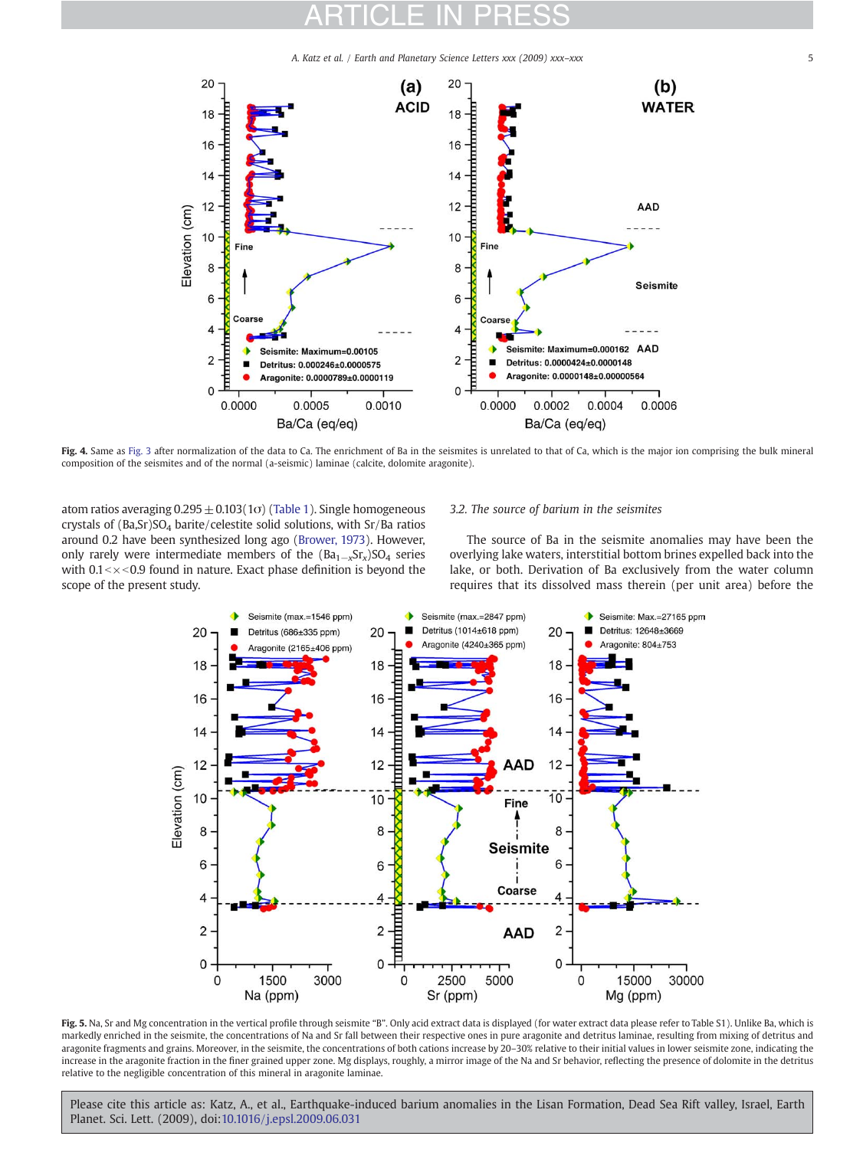A. Katz et al. / Earth and Planetary Science Letters xxx (2009) xxx-xxx



Fig. 4. Same as [Fig. 3](#page-3-0) after normalization of the data to Ca. The enrichment of Ba in the seismites is unrelated to that of Ca, which is the major ion comprising the bulk mineral composition of the seismites and of the normal (a-seismic) laminae (calcite, dolomite aragonite).

atom ratios averaging  $0.295 \pm 0.103(1\sigma)$  ([Table 1\)](#page-6-0). Single homogeneous crystals of (Ba,Sr)SO<sub>4</sub> barite/celestite solid solutions, with Sr/Ba ratios around 0.2 have been synthesized long ago [\(Brower, 1973](#page-9-0)). However, only rarely were intermediate members of the  $(Ba_{1-x}Sr_x)SO_4$  series with  $0.1 < x < 0.9$  found in nature. Exact phase definition is beyond the scope of the present study.

#### 3.2. The source of barium in the seismites

The source of Ba in the seismite anomalies may have been the overlying lake waters, interstitial bottom brines expelled back into the lake, or both. Derivation of Ba exclusively from the water column requires that its dissolved mass therein (per unit area) before the



<span id="page-4-0"></span>Fig. 5. Na, Sr and Mg concentration in the vertical profile through seismite "B". Only acid extract data is displayed (for water extract data please refer to Table S1). Unlike Ba, which is markedly enriched in the seismite, the concentrations of Na and Sr fall between their respective ones in pure aragonite and detritus laminae, resulting from mixing of detritus and aragonite fragments and grains. Moreover, in the seismite, the concentrations of both cations increase by 20–30% relative to their initial values in lower seismite zone, indicating the increase in the aragonite fraction in the finer grained upper zone. Mg displays, roughly, a mirror image of the Na and Sr behavior, reflecting the presence of dolomite in the detritus relative to the negligible concentration of this mineral in aragonite laminae.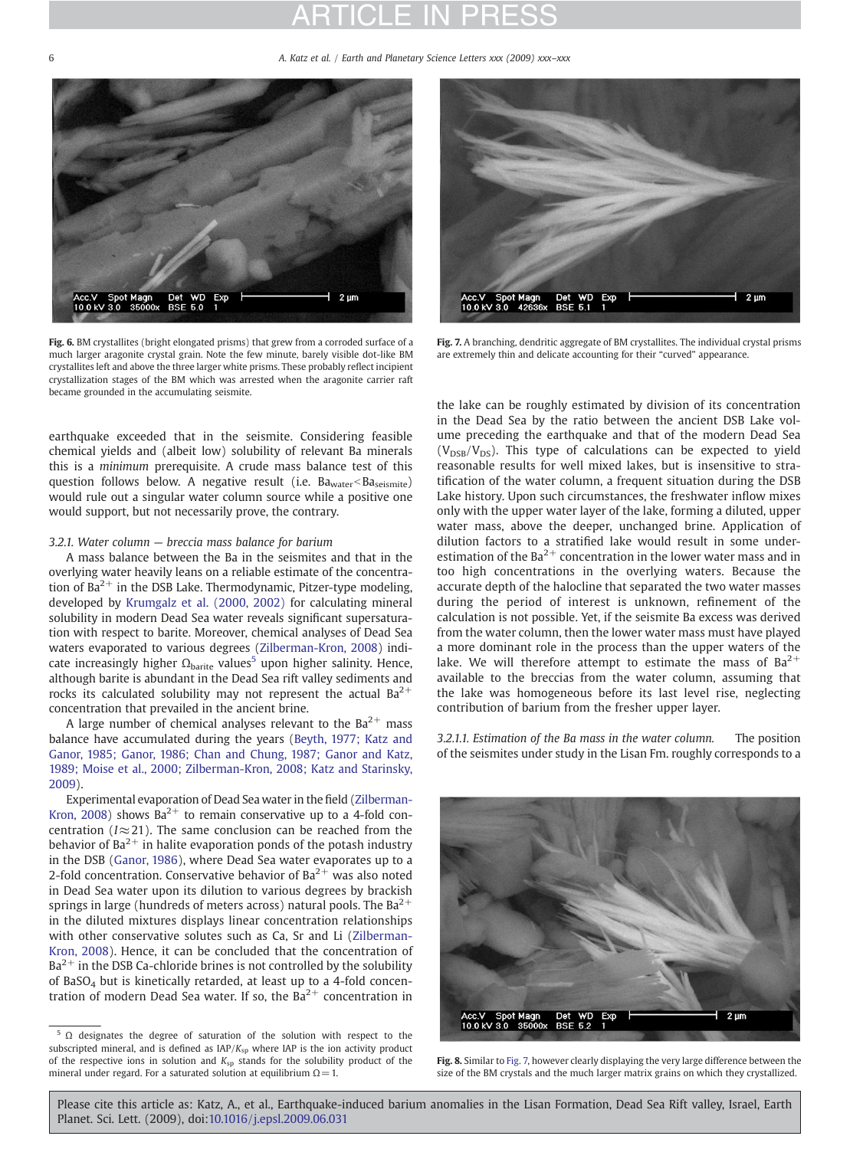6 A. Katz et al. / Earth and Planetary Science Letters xxx (2009) xxx–xxx



Fig. 6. BM crystallites (bright elongated prisms) that grew from a corroded surface of a much larger aragonite crystal grain. Note the few minute, barely visible dot-like BM crystallites left and above the three larger white prisms. These probably reflect incipient crystallization stages of the BM which was arrested when the aragonite carrier raft became grounded in the accumulating seismite.

earthquake exceeded that in the seismite. Considering feasible chemical yields and (albeit low) solubility of relevant Ba minerals this is a minimum prerequisite. A crude mass balance test of this question follows below. A negative result (i.e. Ba<sub>water</sub><Ba<sub>seismite</sub>) would rule out a singular water column source while a positive one would support, but not necessarily prove, the contrary.

#### 3.2.1. Water column — breccia mass balance for barium

A mass balance between the Ba in the seismites and that in the overlying water heavily leans on a reliable estimate of the concentration of  $Ba^{2+}$  in the DSB Lake. Thermodynamic, Pitzer-type modeling, developed by [Krumgalz et al. \(2000, 2002\)](#page-10-0) for calculating mineral solubility in modern Dead Sea water reveals significant supersaturation with respect to barite. Moreover, chemical analyses of Dead Sea waters evaporated to various degrees [\(Zilberman-Kron, 2008\)](#page-10-0) indicate increasingly higher  $\Omega_{\rm barite}$  values<sup>5</sup> upon higher salinity. Hence, although barite is abundant in the Dead Sea rift valley sediments and rocks its calculated solubility may not represent the actual  $Ba^{2+}$ concentration that prevailed in the ancient brine.

A large number of chemical analyses relevant to the  $Ba^{2+}$  mass balance have accumulated during the years [\(Beyth, 1977; Katz and](#page-9-0) [Ganor, 1985; Ganor, 1986; Chan and Chung, 1987; Ganor and Katz,](#page-9-0) [1989; Moise et al., 2000; Zilberman-Kron, 2008; Katz and Starinsky,](#page-9-0) [2009](#page-9-0)).

Experimental evaporation of Dead Sea water in the field [\(Zilberman-](#page-10-0)[Kron, 2008](#page-10-0)) shows  $Ba^{2+}$  to remain conservative up to a 4-fold concentration ( $I \approx 21$ ). The same conclusion can be reached from the behavior of  $Ba^{2+}$  in halite evaporation ponds of the potash industry in the DSB ([Ganor, 1986\)](#page-9-0), where Dead Sea water evaporates up to a 2-fold concentration. Conservative behavior of  $Ba^{2+}$  was also noted in Dead Sea water upon its dilution to various degrees by brackish springs in large (hundreds of meters across) natural pools. The  $Ba^{2+}$ in the diluted mixtures displays linear concentration relationships with other conservative solutes such as Ca, Sr and Li ([Zilberman-](#page-10-0)[Kron, 2008](#page-10-0)). Hence, it can be concluded that the concentration of  $Ba<sup>2+</sup>$  in the DSB Ca-chloride brines is not controlled by the solubility of BaSO<sub>4</sub> but is kinetically retarded, at least up to a 4-fold concentration of modern Dead Sea water. If so, the  $Ba^{2+}$  concentration in



Fig. 7. A branching, dendritic aggregate of BM crystallites. The individual crystal prisms are extremely thin and delicate accounting for their "curved" appearance.

the lake can be roughly estimated by division of its concentration in the Dead Sea by the ratio between the ancient DSB Lake volume preceding the earthquake and that of the modern Dead Sea  $(V_{DSB}/V_{DS})$ . This type of calculations can be expected to yield reasonable results for well mixed lakes, but is insensitive to stratification of the water column, a frequent situation during the DSB Lake history. Upon such circumstances, the freshwater inflow mixes only with the upper water layer of the lake, forming a diluted, upper water mass, above the deeper, unchanged brine. Application of dilution factors to a stratified lake would result in some underestimation of the  $Ba^{2+}$  concentration in the lower water mass and in too high concentrations in the overlying waters. Because the accurate depth of the halocline that separated the two water masses during the period of interest is unknown, refinement of the calculation is not possible. Yet, if the seismite Ba excess was derived from the water column, then the lower water mass must have played a more dominant role in the process than the upper waters of the lake. We will therefore attempt to estimate the mass of  $Ba^{2+}$ available to the breccias from the water column, assuming that the lake was homogeneous before its last level rise, neglecting contribution of barium from the fresher upper layer.

3.2.1.1. Estimation of the Ba mass in the water column. The position of the seismites under study in the Lisan Fm. roughly corresponds to a



Fig. 8. Similar to [Fig. 7,](#page-5-0) however clearly displaying the very large difference between the size of the BM crystals and the much larger matrix grains on which they crystallized.

<span id="page-5-0"></span><sup>5</sup> Ω designates the degree of saturation of the solution with respect to the subscripted mineral, and is defined as  $IAP/K<sub>sp</sub>$  where IAP is the ion activity product of the respective ions in solution and  $K_{sp}$  stands for the solubility product of the mineral under regard. For a saturated solution at equilibrium  $\Omega = 1$ .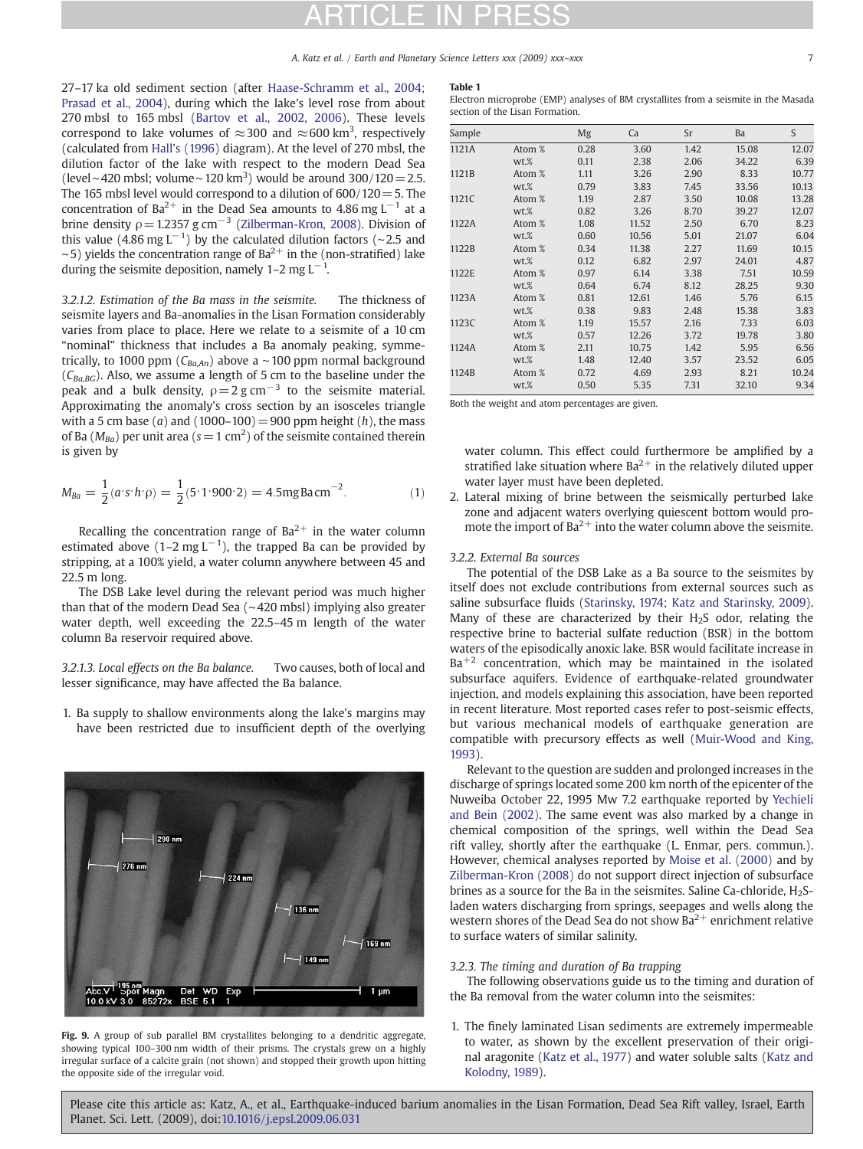27–17 ka old sediment section (after [Haase-Schramm et al., 2004;](#page-10-0) [Prasad et al., 2004](#page-10-0)), during which the lake's level rose from about 270 mbsl to 165 mbsl [\(Bartov et al., 2002, 2006\)](#page-9-0). These levels correspond to lake volumes of  $\approx$ 300 and  $\approx$ 600 km<sup>3</sup>, respectively (calculated from [Hall's \(1996\)](#page-10-0) diagram). At the level of 270 mbsl, the dilution factor of the lake with respect to the modern Dead Sea (level∼420 mbsl; volume∼120 km<sup>3</sup>) would be around 300/120 = 2.5. The 165 mbsl level would correspond to a dilution of  $600/120=5$ . The concentration of Ba<sup>2+</sup> in the Dead Sea amounts to 4.86 mg L<sup>-1</sup> at a brine density  $\rho$  = 1.2357 g cm<sup>-3</sup> [\(Zilberman-Kron, 2008](#page-10-0)). Division of this value (4.86 mg L<sup>-1</sup>) by the calculated dilution factors (~2.5 and  $~\sim$ 5) yields the concentration range of Ba<sup>2+</sup> in the (non-stratified) lake during the seismite deposition, namely 1–2 mg L<sup>-1</sup>.

3.2.1.2. Estimation of the Ba mass in the seismite. The thickness of seismite layers and Ba-anomalies in the Lisan Formation considerably varies from place to place. Here we relate to a seismite of a 10 cm "nominal" thickness that includes a Ba anomaly peaking, symmetrically, to 1000 ppm ( $C_{Ba,An}$ ) above a ~100 ppm normal background  $(C_{Ba,BG})$ . Also, we assume a length of 5 cm to the baseline under the peak and a bulk density,  $\rho = 2$  g cm<sup>-3</sup> to the seismite material. Approximating the anomaly's cross section by an isosceles triangle with a 5 cm base (a) and (1000–100) = 900 ppm height (h), the mass of Ba ( $M_{Ba}$ ) per unit area (s = 1 cm<sup>2</sup>) of the seismite contained therein is given by

$$
M_{Ba} = \frac{1}{2}(a \cdot s \cdot h \cdot \rho) = \frac{1}{2}(5 \cdot 1 \cdot 900 \cdot 2) = 4.5 \text{mgBa cm}^{-2}.
$$
 (1)

Recalling the concentration range of  $Ba^{2+}$  in the water column estimated above (1–2 mg L<sup>-1</sup>), the trapped Ba can be provided by stripping, at a 100% yield, a water column anywhere between 45 and 22.5 m long.

The DSB Lake level during the relevant period was much higher than that of the modern Dead Sea (∼420 mbsl) implying also greater water depth, well exceeding the 22.5–45 m length of the water column Ba reservoir required above.

3.2.1.3. Local effects on the Ba balance. Two causes, both of local and lesser significance, may have affected the Ba balance.

1. Ba supply to shallow environments along the lake's margins may have been restricted due to insufficient depth of the overlying

<span id="page-6-0"></span>Fig. 9. A group of sub parallel BM crystallites belonging to a dendritic aggregate, showing typical 100–300 nm width of their prisms. The crystals grew on a highly irregular surface of a calcite grain (not shown) and stopped their growth upon hitting the opposite side of the irregular void.

#### Table 1

Electron microprobe (EMP) analyses of BM crystallites from a seismite in the Masada section of the Lisan Formation.

| Sample |        | Mg   | Ca    | Sr   | Ba    | S     |
|--------|--------|------|-------|------|-------|-------|
| 1121A  | Atom % | 0.28 | 3.60  | 1.42 | 15.08 | 12.07 |
|        | wt.%   | 0.11 | 2.38  | 2.06 | 34.22 | 6.39  |
| 1121B  | Atom % | 1.11 | 3.26  | 2.90 | 8.33  | 10.77 |
|        | $wt$ % | 0.79 | 3.83  | 7.45 | 33.56 | 10.13 |
| 1121C  | Atom % | 1.19 | 2.87  | 3.50 | 10.08 | 13.28 |
|        | $wt$ % | 0.82 | 3.26  | 8.70 | 39.27 | 12.07 |
| 1122A  | Atom % | 1.08 | 11.52 | 2.50 | 6.70  | 8.23  |
|        | wt.%   | 0.60 | 10.56 | 5.01 | 21.07 | 6.04  |
| 1122B  | Atom % | 0.34 | 11.38 | 2.27 | 11.69 | 10.15 |
|        | wt.%   | 0.12 | 6.82  | 2.97 | 24.01 | 4.87  |
| 1122E  | Atom % | 0.97 | 6.14  | 3.38 | 7.51  | 10.59 |
|        | $wt$ % | 0.64 | 6.74  | 8.12 | 28.25 | 9.30  |
| 1123A  | Atom % | 0.81 | 12.61 | 1.46 | 5.76  | 6.15  |
|        | $wt$ % | 0.38 | 9.83  | 2.48 | 15.38 | 3.83  |
| 1123C  | Atom % | 1.19 | 15.57 | 2.16 | 7.33  | 6.03  |
|        | $wt$ % | 0.57 | 12.26 | 3.72 | 19.78 | 3.80  |
| 1124A  | Atom % | 2.11 | 10.75 | 1.42 | 5.95  | 6.56  |
|        | $wt$ % | 1.48 | 12.40 | 3.57 | 23.52 | 6.05  |
| 1124B  | Atom % | 0.72 | 4.69  | 2.93 | 8.21  | 10.24 |
|        | $wt$ % | 0.50 | 5.35  | 7.31 | 32.10 | 9.34  |

Both the weight and atom percentages are given.

water column. This effect could furthermore be amplified by a stratified lake situation where  $Ba^{2+}$  in the relatively diluted upper water layer must have been depleted.

2. Lateral mixing of brine between the seismically perturbed lake zone and adjacent waters overlying quiescent bottom would promote the import of  $Ba^{2+}$  into the water column above the seismite.

#### 3.2.2. External Ba sources

The potential of the DSB Lake as a Ba source to the seismites by itself does not exclude contributions from external sources such as saline subsurface fluids [\(Starinsky, 1974; Katz and Starinsky, 2009](#page-10-0)). Many of these are characterized by their  $H_2S$  odor, relating the respective brine to bacterial sulfate reduction (BSR) in the bottom waters of the episodically anoxic lake. BSR would facilitate increase in  $Ba^{+2}$  concentration, which may be maintained in the isolated subsurface aquifers. Evidence of earthquake-related groundwater injection, and models explaining this association, have been reported in recent literature. Most reported cases refer to post-seismic effects, but various mechanical models of earthquake generation are compatible with precursory effects as well ([Muir-Wood and King,](#page-10-0) [1993](#page-10-0)).

Relevant to the question are sudden and prolonged increases in the discharge of springs located some 200 km north of the epicenter of the Nuweiba October 22, 1995 Mw 7.2 earthquake reported by [Yechieli](#page-10-0) [and Bein \(2002\)](#page-10-0). The same event was also marked by a change in chemical composition of the springs, well within the Dead Sea rift valley, shortly after the earthquake (L. Enmar, pers. commun.). However, chemical analyses reported by [Moise et al. \(2000\)](#page-10-0) and by [Zilberman-Kron \(2008\)](#page-10-0) do not support direct injection of subsurface brines as a source for the Ba in the seismites. Saline Ca-chloride,  $H_2S$ laden waters discharging from springs, seepages and wells along the western shores of the Dead Sea do not show  $Ba^{2+}$  enrichment relative to surface waters of similar salinity.

### 3.2.3. The timing and duration of Ba trapping

The following observations guide us to the timing and duration of the Ba removal from the water column into the seismites:

1. The finely laminated Lisan sediments are extremely impermeable to water, as shown by the excellent preservation of their original aragonite ([Katz et al., 1977\)](#page-10-0) and water soluble salts [\(Katz and](#page-10-0) [Kolodny, 1989\)](#page-10-0).

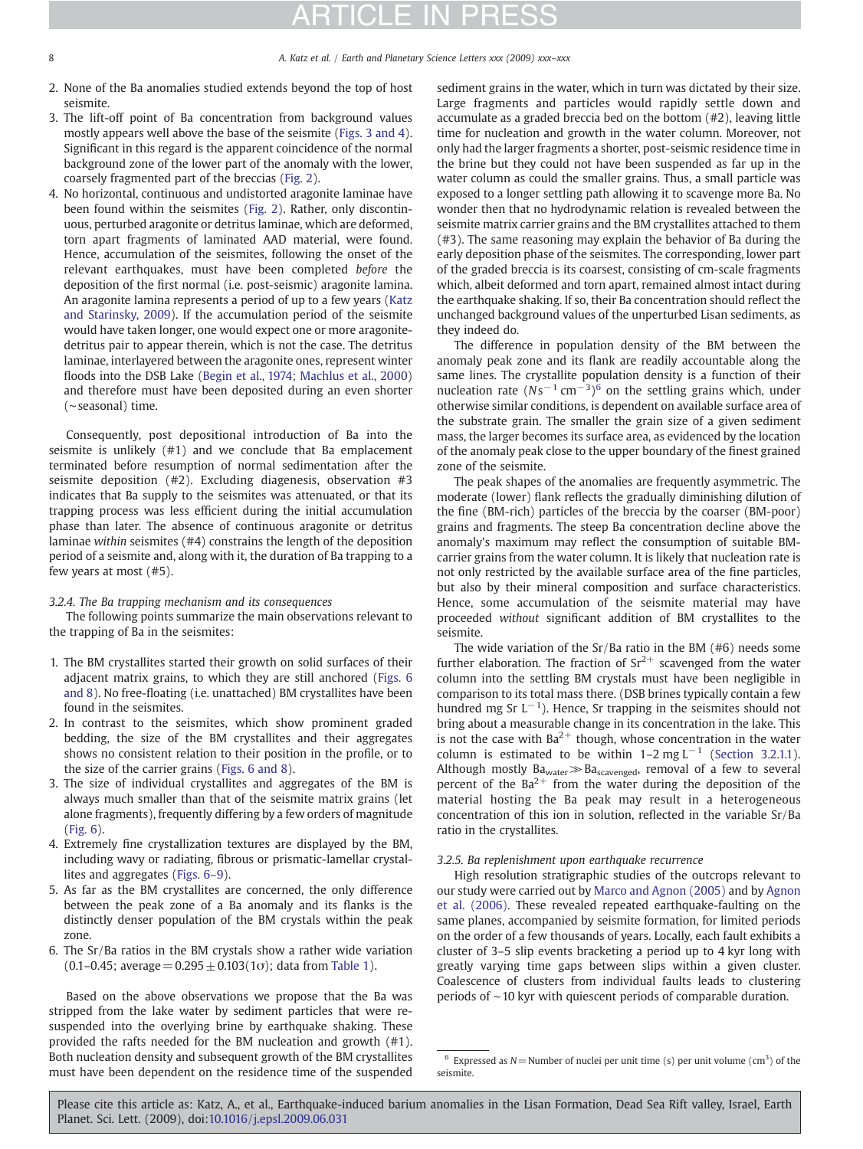- 2. None of the Ba anomalies studied extends beyond the top of host seismite.
- 3. The lift-off point of Ba concentration from background values mostly appears well above the base of the seismite [\(Figs. 3 and 4](#page-3-0)). Significant in this regard is the apparent coincidence of the normal background zone of the lower part of the anomaly with the lower, coarsely fragmented part of the breccias [\(Fig. 2\)](#page-2-0).
- 4. No horizontal, continuous and undistorted aragonite laminae have been found within the seismites ([Fig. 2\)](#page-2-0). Rather, only discontinuous, perturbed aragonite or detritus laminae, which are deformed, torn apart fragments of laminated AAD material, were found. Hence, accumulation of the seismites, following the onset of the relevant earthquakes, must have been completed before the deposition of the first normal (i.e. post-seismic) aragonite lamina. An aragonite lamina represents a period of up to a few years ([Katz](#page-10-0) [and Starinsky, 2009\)](#page-10-0). If the accumulation period of the seismite would have taken longer, one would expect one or more aragonitedetritus pair to appear therein, which is not the case. The detritus laminae, interlayered between the aragonite ones, represent winter floods into the DSB Lake [\(Begin et al., 1974; Machlus et al., 2000](#page-9-0)) and therefore must have been deposited during an even shorter (∼seasonal) time.

Consequently, post depositional introduction of Ba into the seismite is unlikely (#1) and we conclude that Ba emplacement terminated before resumption of normal sedimentation after the seismite deposition (#2). Excluding diagenesis, observation #3 indicates that Ba supply to the seismites was attenuated, or that its trapping process was less efficient during the initial accumulation phase than later. The absence of continuous aragonite or detritus laminae within seismites (#4) constrains the length of the deposition period of a seismite and, along with it, the duration of Ba trapping to a few years at most (#5).

### 3.2.4. The Ba trapping mechanism and its consequences

The following points summarize the main observations relevant to the trapping of Ba in the seismites:

- 1. The BM crystallites started their growth on solid surfaces of their adjacent matrix grains, to which they are still anchored ([Figs. 6](#page-5-0) [and 8](#page-5-0)). No free-floating (i.e. unattached) BM crystallites have been found in the seismites.
- 2. In contrast to the seismites, which show prominent graded bedding, the size of the BM crystallites and their aggregates shows no consistent relation to their position in the profile, or to the size of the carrier grains ([Figs. 6 and 8\)](#page-5-0).
- 3. The size of individual crystallites and aggregates of the BM is always much smaller than that of the seismite matrix grains (let alone fragments), frequently differing by a few orders of magnitude ([Fig. 6](#page-5-0)).
- 4. Extremely fine crystallization textures are displayed by the BM, including wavy or radiating, fibrous or prismatic-lamellar crystallites and aggregates [\(Figs. 6](#page-5-0)–9).
- 5. As far as the BM crystallites are concerned, the only difference between the peak zone of a Ba anomaly and its flanks is the distinctly denser population of the BM crystals within the peak zone.
- 6. The Sr/Ba ratios in the BM crystals show a rather wide variation (0.1–0.45; average =  $0.295 \pm 0.103(1\sigma)$ ; data from [Table 1](#page-6-0)).

Based on the above observations we propose that the Ba was stripped from the lake water by sediment particles that were resuspended into the overlying brine by earthquake shaking. These provided the rafts needed for the BM nucleation and growth (#1). Both nucleation density and subsequent growth of the BM crystallites must have been dependent on the residence time of the suspended

sediment grains in the water, which in turn was dictated by their size. Large fragments and particles would rapidly settle down and accumulate as a graded breccia bed on the bottom (#2), leaving little time for nucleation and growth in the water column. Moreover, not only had the larger fragments a shorter, post-seismic residence time in the brine but they could not have been suspended as far up in the water column as could the smaller grains. Thus, a small particle was exposed to a longer settling path allowing it to scavenge more Ba. No wonder then that no hydrodynamic relation is revealed between the seismite matrix carrier grains and the BM crystallites attached to them (#3). The same reasoning may explain the behavior of Ba during the early deposition phase of the seismites. The corresponding, lower part of the graded breccia is its coarsest, consisting of cm-scale fragments which, albeit deformed and torn apart, remained almost intact during the earthquake shaking. If so, their Ba concentration should reflect the unchanged background values of the unperturbed Lisan sediments, as they indeed do.

The difference in population density of the BM between the anomaly peak zone and its flank are readily accountable along the same lines. The crystallite population density is a function of their nucleation rate  $(Ns^{-1}$  cm<sup>-3</sup>)<sup>6</sup> on the settling grains which, under otherwise similar conditions, is dependent on available surface area of the substrate grain. The smaller the grain size of a given sediment mass, the larger becomes its surface area, as evidenced by the location of the anomaly peak close to the upper boundary of the finest grained zone of the seismite.

The peak shapes of the anomalies are frequently asymmetric. The moderate (lower) flank reflects the gradually diminishing dilution of the fine (BM-rich) particles of the breccia by the coarser (BM-poor) grains and fragments. The steep Ba concentration decline above the anomaly's maximum may reflect the consumption of suitable BMcarrier grains from the water column. It is likely that nucleation rate is not only restricted by the available surface area of the fine particles, but also by their mineral composition and surface characteristics. Hence, some accumulation of the seismite material may have proceeded without significant addition of BM crystallites to the seismite.

The wide variation of the Sr/Ba ratio in the BM (#6) needs some further elaboration. The fraction of  $Sr^{2+}$  scavenged from the water column into the settling BM crystals must have been negligible in comparison to its total mass there. (DSB brines typically contain a few hundred mg Sr  $L^{-1}$ ). Hence, Sr trapping in the seismites should not bring about a measurable change in its concentration in the lake. This is not the case with  $Ba^{2+}$  though, whose concentration in the water column is estimated to be within  $1-2$  mg L<sup>-1</sup> ([Section 3.2.1.1](#page-5-0)). Although mostly  $Ba<sub>water</sub> \gg Ba<sub>scavenged</sub>$ , removal of a few to several percent of the  $Ba^{2+}$  from the water during the deposition of the material hosting the Ba peak may result in a heterogeneous concentration of this ion in solution, reflected in the variable Sr/Ba ratio in the crystallites.

### 3.2.5. Ba replenishment upon earthquake recurrence

High resolution stratigraphic studies of the outcrops relevant to our study were carried out by [Marco and Agnon \(2005\)](#page-10-0) and by [Agnon](#page-9-0) [et al. \(2006\)](#page-9-0). These revealed repeated earthquake-faulting on the same planes, accompanied by seismite formation, for limited periods on the order of a few thousands of years. Locally, each fault exhibits a cluster of 3–5 slip events bracketing a period up to 4 kyr long with greatly varying time gaps between slips within a given cluster. Coalescence of clusters from individual faults leads to clustering periods of ∼10 kyr with quiescent periods of comparable duration.

<sup>&</sup>lt;sup>6</sup> Expressed as  $N =$  Number of nuclei per unit time (s) per unit volume (cm<sup>3</sup>) of the seismite.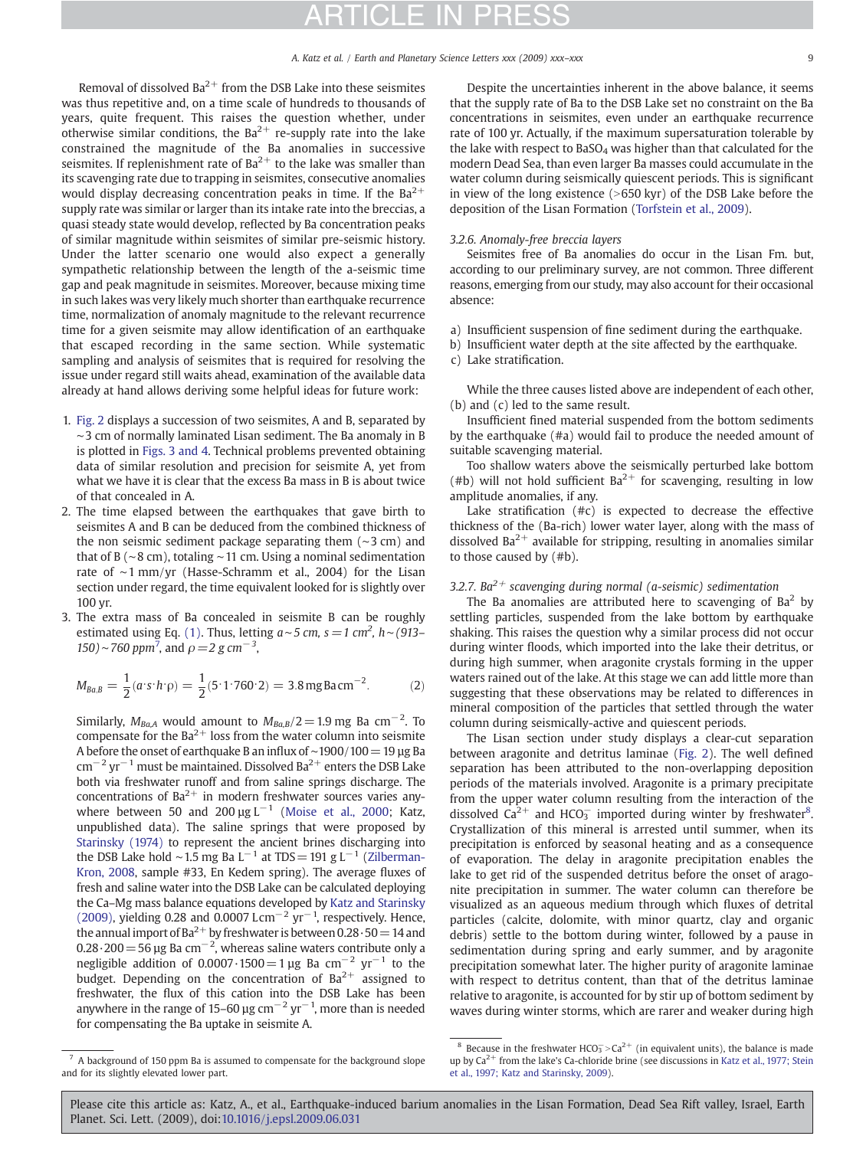Removal of dissolved  $Ba^{2+}$  from the DSB Lake into these seismites was thus repetitive and, on a time scale of hundreds to thousands of years, quite frequent. This raises the question whether, under otherwise similar conditions, the  $Ba^{2+}$  re-supply rate into the lake constrained the magnitude of the Ba anomalies in successive seismites. If replenishment rate of  $Ba^{2+}$  to the lake was smaller than its scavenging rate due to trapping in seismites, consecutive anomalies would display decreasing concentration peaks in time. If the  $Ba^{2+}$ supply rate was similar or larger than its intake rate into the breccias, a quasi steady state would develop, reflected by Ba concentration peaks of similar magnitude within seismites of similar pre-seismic history. Under the latter scenario one would also expect a generally sympathetic relationship between the length of the a-seismic time gap and peak magnitude in seismites. Moreover, because mixing time in such lakes was very likely much shorter than earthquake recurrence time, normalization of anomaly magnitude to the relevant recurrence time for a given seismite may allow identification of an earthquake that escaped recording in the same section. While systematic sampling and analysis of seismites that is required for resolving the issue under regard still waits ahead, examination of the available data already at hand allows deriving some helpful ideas for future work:

- 1. [Fig. 2](#page-2-0) displays a succession of two seismites, A and B, separated by ∼3 cm of normally laminated Lisan sediment. The Ba anomaly in B is plotted in [Figs. 3 and 4.](#page-3-0) Technical problems prevented obtaining data of similar resolution and precision for seismite A, yet from what we have it is clear that the excess Ba mass in B is about twice of that concealed in A.
- 2. The time elapsed between the earthquakes that gave birth to seismites A and B can be deduced from the combined thickness of the non seismic sediment package separating them (∼3 cm) and that of B (∼8 cm), totaling ∼11 cm. Using a nominal sedimentation rate of ∼1 mm/yr (Hasse-Schramm et al., 2004) for the Lisan section under regard, the time equivalent looked for is slightly over 100 yr.
- 3. The extra mass of Ba concealed in seismite B can be roughly estimated using Eq. (1). Thus, letting  $a \sim 5$  cm,  $s = 1$  cm<sup>2</sup>,  $h \sim (913-$ 150)∼760 ppm<sup>7</sup>, and  $\rho = 2$  g cm<sup>-3</sup>,

$$
M_{Ba,B} = \frac{1}{2}(a \cdot s \cdot h \cdot \rho) = \frac{1}{2}(5 \cdot 1 \cdot 760 \cdot 2) = 3.8 \,\text{mgBa cm}^{-2}.
$$
 (2)

Similarly,  $M_{Ba,A}$  would amount to  $M_{Ba,B}/2$  = 1.9 mg Ba cm<sup>-2</sup>. To compensate for the  $Ba^{2+}$  loss from the water column into seismite A before the onset of earthquake B an influx of ∼1900/100=19 µg Ba  $\text{cm}^{-2}\text{ yr}^{-1}$  must be maintained. Dissolved Ba<sup>2+</sup> enters the DSB Lake both via freshwater runoff and from saline springs discharge. The concentrations of  $Ba^{2+}$  in modern freshwater sources varies anywhere between 50 and 200  $\mu$ g L<sup>-1</sup> [\(Moise et al., 2000](#page-10-0); Katz, unpublished data). The saline springs that were proposed by [Starinsky \(1974\)](#page-10-0) to represent the ancient brines discharging into the DSB Lake hold ∼1.5 mg Ba L<sup>-1</sup> at TDS = 191 g L<sup>-1</sup> [\(Zilberman-](#page-10-0)[Kron, 2008](#page-10-0), sample #33, En Kedem spring). The average fluxes of fresh and saline water into the DSB Lake can be calculated deploying the Ca–Mg mass balance equations developed by [Katz and Starinsky](#page-10-0) [\(2009\),](#page-10-0) yielding 0.28 and 0.0007 Lcm<sup>-2</sup> yr<sup>-1</sup>, respectively. Hence, the annual import of Ba<sup>2+</sup> by freshwater is between  $0.28 \cdot 50 = 14$  and 0.28 $\cdot$ 200 = 56 µg Ba cm<sup>-2</sup>, whereas saline waters contribute only a negligible addition of 0.0007 $\cdot$ 1500=1 µg Ba cm<sup>-2</sup> yr<sup>-1</sup> to the budget. Depending on the concentration of  $Ba^{2+}$  assigned to freshwater, the flux of this cation into the DSB Lake has been anywhere in the range of 15–60 µg cm<sup>-2</sup> yr<sup>-1</sup>, more than is needed for compensating the Ba uptake in seismite A.

Despite the uncertainties inherent in the above balance, it seems that the supply rate of Ba to the DSB Lake set no constraint on the Ba concentrations in seismites, even under an earthquake recurrence rate of 100 yr. Actually, if the maximum supersaturation tolerable by the lake with respect to  $BaSO<sub>4</sub>$  was higher than that calculated for the modern Dead Sea, than even larger Ba masses could accumulate in the water column during seismically quiescent periods. This is significant in view of the long existence  $(>650 \text{ kyr})$  of the DSB Lake before the deposition of the Lisan Formation [\(Torfstein et al., 2009\)](#page-10-0).

#### 3.2.6. Anomaly-free breccia layers

Seismites free of Ba anomalies do occur in the Lisan Fm. but, according to our preliminary survey, are not common. Three different reasons, emerging from our study, may also account for their occasional absence:

- a) Insufficient suspension of fine sediment during the earthquake.
- b) Insufficient water depth at the site affected by the earthquake.
- c) Lake stratification.

While the three causes listed above are independent of each other, (b) and (c) led to the same result.

Insufficient fined material suspended from the bottom sediments by the earthquake (#a) would fail to produce the needed amount of suitable scavenging material.

Too shallow waters above the seismically perturbed lake bottom (#b) will not hold sufficient  $Ba^{2+}$  for scavenging, resulting in low amplitude anomalies, if any.

Lake stratification (#c) is expected to decrease the effective thickness of the (Ba-rich) lower water layer, along with the mass of dissolved  $Ba^{2+}$  available for stripping, resulting in anomalies similar to those caused by (#b).

### 3.2.7. Ba<sup>2+</sup> scavenging during normal (a-seismic) sedimentation

The Ba anomalies are attributed here to scavenging of  $Ba<sup>2</sup>$  by settling particles, suspended from the lake bottom by earthquake shaking. This raises the question why a similar process did not occur during winter floods, which imported into the lake their detritus, or during high summer, when aragonite crystals forming in the upper waters rained out of the lake. At this stage we can add little more than suggesting that these observations may be related to differences in mineral composition of the particles that settled through the water column during seismically-active and quiescent periods.

The Lisan section under study displays a clear-cut separation between aragonite and detritus laminae ([Fig. 2](#page-2-0)). The well defined separation has been attributed to the non-overlapping deposition periods of the materials involved. Aragonite is a primary precipitate from the upper water column resulting from the interaction of the dissolved  $Ca^{2+}$  and HCO<sub>3</sub> imported during winter by freshwater<sup>8</sup>. Crystallization of this mineral is arrested until summer, when its precipitation is enforced by seasonal heating and as a consequence of evaporation. The delay in aragonite precipitation enables the lake to get rid of the suspended detritus before the onset of aragonite precipitation in summer. The water column can therefore be visualized as an aqueous medium through which fluxes of detrital particles (calcite, dolomite, with minor quartz, clay and organic debris) settle to the bottom during winter, followed by a pause in sedimentation during spring and early summer, and by aragonite precipitation somewhat later. The higher purity of aragonite laminae with respect to detritus content, than that of the detritus laminae relative to aragonite, is accounted for by stir up of bottom sediment by waves during winter storms, which are rarer and weaker during high

 $7$  A background of 150 ppm Ba is assumed to compensate for the background slope and for its slightly elevated lower part.

<sup>&</sup>lt;sup>8</sup> Because in the freshwater HCO<sub>3</sub> > Ca<sup>2+</sup> (in equivalent units), the balance is made up by  $Ca^{2+}$  from the lake's Ca-chloride brine (see discussions in [Katz et al., 1977; Stein](#page-10-0) [et al., 1997; Katz and Starinsky, 2009](#page-10-0)).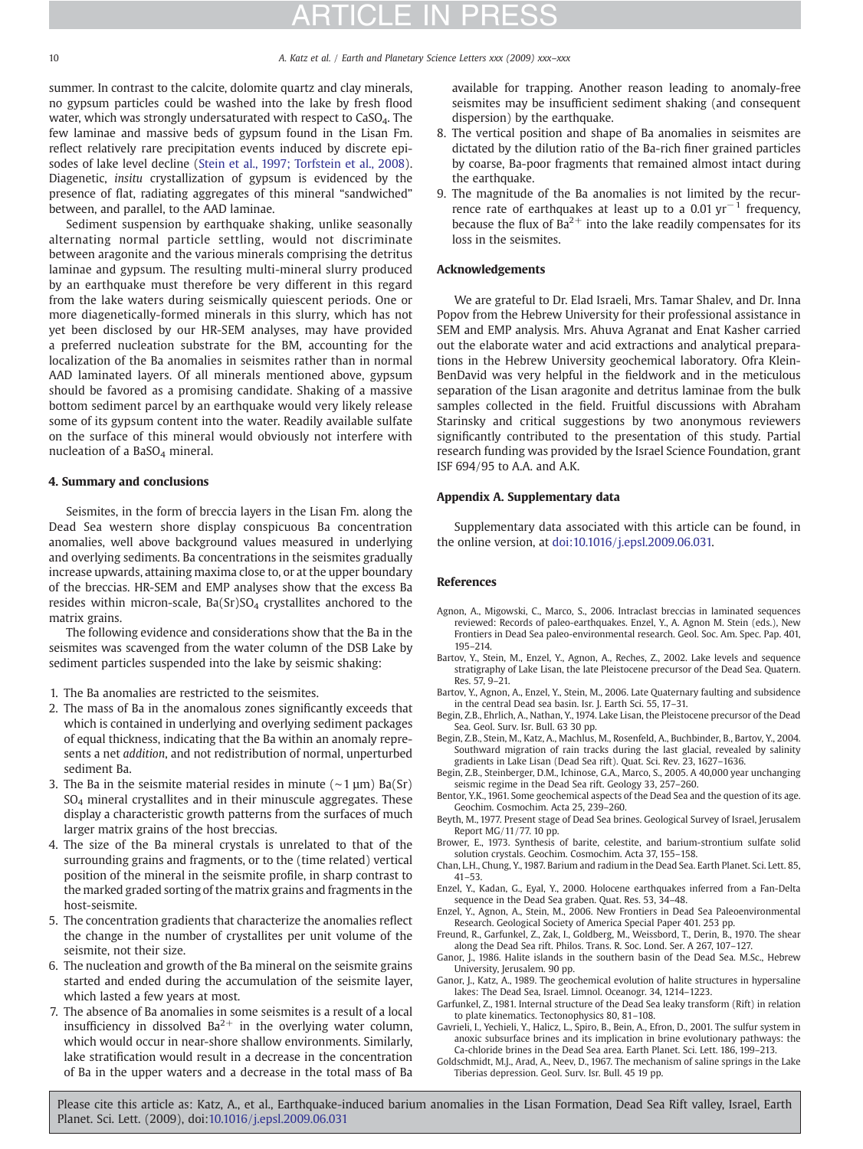summer. In contrast to the calcite, dolomite quartz and clay minerals, no gypsum particles could be washed into the lake by fresh flood water, which was strongly undersaturated with respect to CaSO<sub>4</sub>. The few laminae and massive beds of gypsum found in the Lisan Fm. reflect relatively rare precipitation events induced by discrete episodes of lake level decline [\(Stein et al., 1997; Torfstein et al., 2008](#page-10-0)). Diagenetic, insitu crystallization of gypsum is evidenced by the presence of flat, radiating aggregates of this mineral "sandwiched" between, and parallel, to the AAD laminae.

Sediment suspension by earthquake shaking, unlike seasonally alternating normal particle settling, would not discriminate between aragonite and the various minerals comprising the detritus laminae and gypsum. The resulting multi-mineral slurry produced by an earthquake must therefore be very different in this regard from the lake waters during seismically quiescent periods. One or more diagenetically-formed minerals in this slurry, which has not yet been disclosed by our HR-SEM analyses, may have provided a preferred nucleation substrate for the BM, accounting for the localization of the Ba anomalies in seismites rather than in normal AAD laminated layers. Of all minerals mentioned above, gypsum should be favored as a promising candidate. Shaking of a massive bottom sediment parcel by an earthquake would very likely release some of its gypsum content into the water. Readily available sulfate on the surface of this mineral would obviously not interfere with nucleation of a BaSO<sub>4</sub> mineral.

### 4. Summary and conclusions

Seismites, in the form of breccia layers in the Lisan Fm. along the Dead Sea western shore display conspicuous Ba concentration anomalies, well above background values measured in underlying and overlying sediments. Ba concentrations in the seismites gradually increase upwards, attaining maxima close to, or at the upper boundary of the breccias. HR-SEM and EMP analyses show that the excess Ba resides within micron-scale,  $Ba(Sr)SO<sub>4</sub>$  crystallites anchored to the matrix grains.

The following evidence and considerations show that the Ba in the seismites was scavenged from the water column of the DSB Lake by sediment particles suspended into the lake by seismic shaking:

- 1. The Ba anomalies are restricted to the seismites.
- 2. The mass of Ba in the anomalous zones significantly exceeds that which is contained in underlying and overlying sediment packages of equal thickness, indicating that the Ba within an anomaly represents a net addition, and not redistribution of normal, unperturbed sediment Ba.
- 3. The Ba in the seismite material resides in minute (∼1 µm) Ba(Sr) SO4 mineral crystallites and in their minuscule aggregates. These display a characteristic growth patterns from the surfaces of much larger matrix grains of the host breccias.
- 4. The size of the Ba mineral crystals is unrelated to that of the surrounding grains and fragments, or to the (time related) vertical position of the mineral in the seismite profile, in sharp contrast to the marked graded sorting of the matrix grains and fragments in the host-seismite.
- 5. The concentration gradients that characterize the anomalies reflect the change in the number of crystallites per unit volume of the seismite, not their size.
- 6. The nucleation and growth of the Ba mineral on the seismite grains started and ended during the accumulation of the seismite layer, which lasted a few years at most.
- <span id="page-9-0"></span>7. The absence of Ba anomalies in some seismites is a result of a local insufficiency in dissolved  $Ba^{2+}$  in the overlying water column, which would occur in near-shore shallow environments. Similarly, lake stratification would result in a decrease in the concentration of Ba in the upper waters and a decrease in the total mass of Ba

available for trapping. Another reason leading to anomaly-free seismites may be insufficient sediment shaking (and consequent dispersion) by the earthquake.

- 8. The vertical position and shape of Ba anomalies in seismites are dictated by the dilution ratio of the Ba-rich finer grained particles by coarse, Ba-poor fragments that remained almost intact during the earthquake.
- 9. The magnitude of the Ba anomalies is not limited by the recurrence rate of earthquakes at least up to a 0.01  $\text{yr}^{-1}$  frequency, because the flux of  $Ba^{2+}$  into the lake readily compensates for its loss in the seismites.

### Acknowledgements

We are grateful to Dr. Elad Israeli, Mrs. Tamar Shalev, and Dr. Inna Popov from the Hebrew University for their professional assistance in SEM and EMP analysis. Mrs. Ahuva Agranat and Enat Kasher carried out the elaborate water and acid extractions and analytical preparations in the Hebrew University geochemical laboratory. Ofra Klein-BenDavid was very helpful in the fieldwork and in the meticulous separation of the Lisan aragonite and detritus laminae from the bulk samples collected in the field. Fruitful discussions with Abraham Starinsky and critical suggestions by two anonymous reviewers significantly contributed to the presentation of this study. Partial research funding was provided by the Israel Science Foundation, grant ISF 694/95 to A.A. and A.K.

### Appendix A. Supplementary data

Supplementary data associated with this article can be found, in the online version, at doi:[10.1016/j.epsl.2009.06.031.](http://dx.doi.org/10.1016/j.epsl.2009.06.031)

### References

- Agnon, A., Migowski, C., Marco, S., 2006. Intraclast breccias in laminated sequences reviewed: Records of paleo-earthquakes. Enzel, Y., A. Agnon M. Stein (eds.), New Frontiers in Dead Sea paleo-environmental research. Geol. Soc. Am. Spec. Pap. 401, 195–214.
- Bartov, Y., Stein, M., Enzel, Y., Agnon, A., Reches, Z., 2002. Lake levels and sequence stratigraphy of Lake Lisan, the late Pleistocene precursor of the Dead Sea. Quatern. Res. 57, 9–21.
- Bartov, Y., Agnon, A., Enzel, Y., Stein, M., 2006. Late Quaternary faulting and subsidence in the central Dead sea basin. Isr. J. Earth Sci. 55, 17–31.
- Begin, Z.B., Ehrlich, A., Nathan, Y., 1974. Lake Lisan, the Pleistocene precursor of the Dead Sea. Geol. Surv. Isr. Bull. 63 30 pp.
- Begin, Z.B., Stein, M., Katz, A., Machlus, M., Rosenfeld, A., Buchbinder, B., Bartov, Y., 2004. Southward migration of rain tracks during the last glacial, revealed by salinity gradients in Lake Lisan (Dead Sea rift). Quat. Sci. Rev. 23, 1627–1636.
- Begin, Z.B., Steinberger, D.M., Ichinose, G.A., Marco, S., 2005. A 40,000 year unchanging seismic regime in the Dead Sea rift. Geology 33, 257–260.
- Bentor, Y.K., 1961. Some geochemical aspects of the Dead Sea and the question of its age. Geochim. Cosmochim. Acta 25, 239–260.
- Beyth, M., 1977. Present stage of Dead Sea brines. Geological Survey of Israel, Jerusalem Report MG/11/77. 10 pp.
- Brower, E., 1973. Synthesis of barite, celestite, and barium-strontium sulfate solid solution crystals. Geochim. Cosmochim. Acta 37, 155–158.
- Chan, L.H., Chung, Y., 1987. Barium and radium in the Dead Sea. Earth Planet. Sci. Lett. 85, 41–53.
- Enzel, Y., Kadan, G., Eyal, Y., 2000. Holocene earthquakes inferred from a Fan-Delta sequence in the Dead Sea graben. Quat. Res. 53, 34–48.
- Enzel, Y., Agnon, A., Stein, M., 2006. New Frontiers in Dead Sea Paleoenvironmental Research. Geological Society of America Special Paper 401. 253 pp.
- Freund, R., Garfunkel, Z., Zak, I., Goldberg, M., Weissbord, T., Derin, B., 1970. The shear along the Dead Sea rift. Philos. Trans. R. Soc. Lond. Ser. A 267, 107–127.
- Ganor, J., 1986. Halite islands in the southern basin of the Dead Sea. M.Sc., Hebrew University, Jerusalem. 90 pp.
- Ganor, J., Katz, A., 1989. The geochemical evolution of halite structures in hypersaline lakes: The Dead Sea, Israel. Limnol. Oceanogr. 34, 1214–1223.
- Garfunkel, Z., 1981. Internal structure of the Dead Sea leaky transform (Rift) in relation to plate kinematics. Tectonophysics 80, 81–108.
- Gavrieli, I., Yechieli, Y., Halicz, L., Spiro, B., Bein, A., Efron, D., 2001. The sulfur system in anoxic subsurface brines and its implication in brine evolutionary pathways: the Ca-chloride brines in the Dead Sea area. Earth Planet. Sci. Lett. 186, 199–213.
- Goldschmidt, M.J., Arad, A., Neev, D., 1967. The mechanism of saline springs in the Lake Tiberias depression. Geol. Surv. Isr. Bull. 45 19 pp.